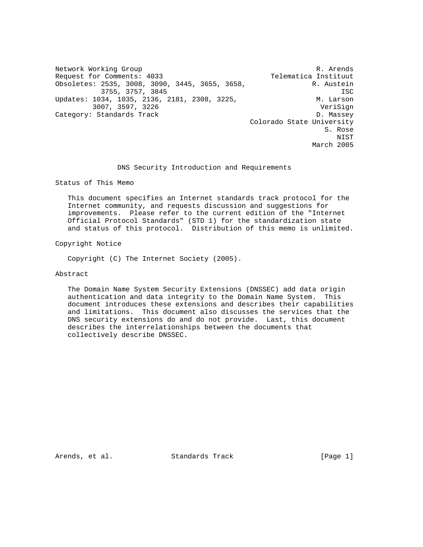Network Working Group and the set of the set of the set of the R. Arends Request for Comments: 4033 Telematica Instituut Obsoletes: 2535, 3008, 3090, 3445, 3655, 3658, R. Austein 3755, 3757, 3845 ISC Updates: 1034, 1035, 2136, 2181, 2308, 3225, M. Larson 3007, 3597, 3226 VeriSign Category: Standards Track D. Massey Colorado State University S. Rose NIST March 2005

DNS Security Introduction and Requirements

Status of This Memo

 This document specifies an Internet standards track protocol for the Internet community, and requests discussion and suggestions for improvements. Please refer to the current edition of the "Internet Official Protocol Standards" (STD 1) for the standardization state and status of this protocol. Distribution of this memo is unlimited.

Copyright Notice

Copyright (C) The Internet Society (2005).

Abstract

 The Domain Name System Security Extensions (DNSSEC) add data origin authentication and data integrity to the Domain Name System. This document introduces these extensions and describes their capabilities and limitations. This document also discusses the services that the DNS security extensions do and do not provide. Last, this document describes the interrelationships between the documents that collectively describe DNSSEC.

Arends, et al. Standards Track [Page 1]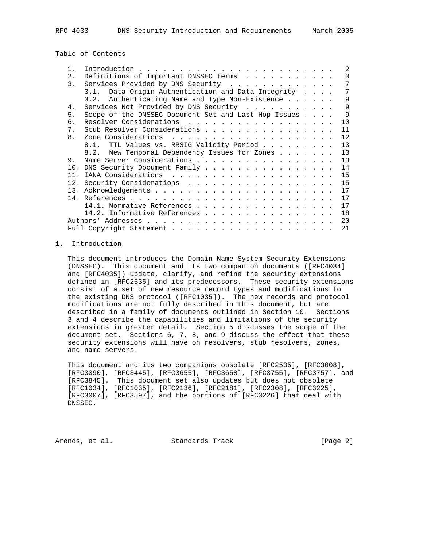Table of Contents

|                |                                                      | $\mathfrak{D}$                                                                                                                                                                |
|----------------|------------------------------------------------------|-------------------------------------------------------------------------------------------------------------------------------------------------------------------------------|
| 2.             | Definitions of Important DNSSEC Terms                | 3                                                                                                                                                                             |
| 3.             | Services Provided by DNS Security                    |                                                                                                                                                                               |
|                | 3.1. Data Origin Authentication and Data Integrity   |                                                                                                                                                                               |
|                | 3.2. Authenticating Name and Type Non-Existence      | 9                                                                                                                                                                             |
| 4.             | Services Not Provided by DNS Security                | 9                                                                                                                                                                             |
| 5.             | Scope of the DNSSEC Document Set and Last Hop Issues | 9                                                                                                                                                                             |
| б.             | Resolver Considerations                              | 10                                                                                                                                                                            |
| 7.             | Stub Resolver Considerations                         | 11                                                                                                                                                                            |
| 8 <sub>1</sub> |                                                      | 12                                                                                                                                                                            |
|                | 8.1. TTL Values vs. RRSIG Validity Period            | 13                                                                                                                                                                            |
|                |                                                      | 13                                                                                                                                                                            |
| 9.             |                                                      | 13                                                                                                                                                                            |
|                |                                                      | 14                                                                                                                                                                            |
|                |                                                      | 15                                                                                                                                                                            |
|                |                                                      | 15                                                                                                                                                                            |
|                |                                                      | 17                                                                                                                                                                            |
|                |                                                      | 17                                                                                                                                                                            |
|                |                                                      | 17                                                                                                                                                                            |
|                |                                                      | 18                                                                                                                                                                            |
|                |                                                      | 20                                                                                                                                                                            |
|                |                                                      | 21                                                                                                                                                                            |
|                |                                                      | 8.2. New Temporal Dependency Issues for Zones<br>Name Server Considerations<br>10. DNS Security Document Family<br>14.1. Normative References<br>14.2. Informative References |

### 1. Introduction

 This document introduces the Domain Name System Security Extensions (DNSSEC). This document and its two companion documents ([RFC4034] and [RFC4035]) update, clarify, and refine the security extensions defined in [RFC2535] and its predecessors. These security extensions consist of a set of new resource record types and modifications to the existing DNS protocol ([RFC1035]). The new records and protocol modifications are not fully described in this document, but are described in a family of documents outlined in Section 10. Sections 3 and 4 describe the capabilities and limitations of the security extensions in greater detail. Section 5 discusses the scope of the document set. Sections 6, 7, 8, and 9 discuss the effect that these security extensions will have on resolvers, stub resolvers, zones, and name servers.

 This document and its two companions obsolete [RFC2535], [RFC3008], [RFC3090], [RFC3445], [RFC3655], [RFC3658], [RFC3755], [RFC3757], and [RFC3845]. This document set also updates but does not obsolete [RFC1034], [RFC1035], [RFC2136], [RFC2181], [RFC2308], [RFC3225], [RFC3007], [RFC3597], and the portions of [RFC3226] that deal with DNSSEC.

Arends, et al. Standards Track [Page 2]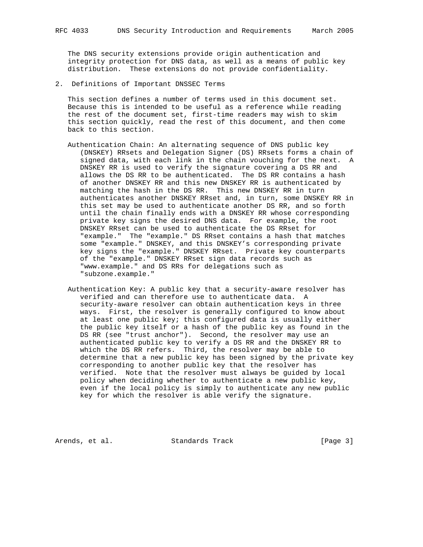The DNS security extensions provide origin authentication and integrity protection for DNS data, as well as a means of public key distribution. These extensions do not provide confidentiality.

2. Definitions of Important DNSSEC Terms

 This section defines a number of terms used in this document set. Because this is intended to be useful as a reference while reading the rest of the document set, first-time readers may wish to skim this section quickly, read the rest of this document, and then come back to this section.

- Authentication Chain: An alternating sequence of DNS public key (DNSKEY) RRsets and Delegation Signer (DS) RRsets forms a chain of signed data, with each link in the chain vouching for the next. A DNSKEY RR is used to verify the signature covering a DS RR and allows the DS RR to be authenticated. The DS RR contains a hash of another DNSKEY RR and this new DNSKEY RR is authenticated by matching the hash in the DS RR. This new DNSKEY RR in turn authenticates another DNSKEY RRset and, in turn, some DNSKEY RR in this set may be used to authenticate another DS RR, and so forth until the chain finally ends with a DNSKEY RR whose corresponding private key signs the desired DNS data. For example, the root DNSKEY RRset can be used to authenticate the DS RRset for "example." The "example." DS RRset contains a hash that matches some "example." DNSKEY, and this DNSKEY's corresponding private key signs the "example." DNSKEY RRset. Private key counterparts of the "example." DNSKEY RRset sign data records such as "www.example." and DS RRs for delegations such as "subzone.example."
- Authentication Key: A public key that a security-aware resolver has verified and can therefore use to authenticate data. A security-aware resolver can obtain authentication keys in three ways. First, the resolver is generally configured to know about at least one public key; this configured data is usually either the public key itself or a hash of the public key as found in the DS RR (see "trust anchor"). Second, the resolver may use an authenticated public key to verify a DS RR and the DNSKEY RR to which the DS RR refers. Third, the resolver may be able to determine that a new public key has been signed by the private key corresponding to another public key that the resolver has verified. Note that the resolver must always be guided by local policy when deciding whether to authenticate a new public key, even if the local policy is simply to authenticate any new public key for which the resolver is able verify the signature.

Arends, et al. Standards Track [Page 3]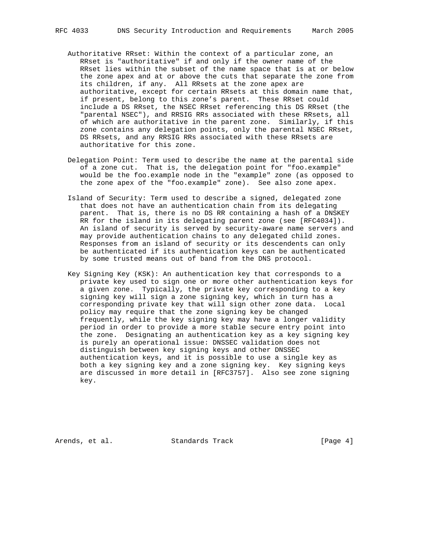- Authoritative RRset: Within the context of a particular zone, an RRset is "authoritative" if and only if the owner name of the RRset lies within the subset of the name space that is at or below the zone apex and at or above the cuts that separate the zone from its children, if any. All RRsets at the zone apex are authoritative, except for certain RRsets at this domain name that, if present, belong to this zone's parent. These RRset could include a DS RRset, the NSEC RRset referencing this DS RRset (the "parental NSEC"), and RRSIG RRs associated with these RRsets, all of which are authoritative in the parent zone. Similarly, if this zone contains any delegation points, only the parental NSEC RRset, DS RRsets, and any RRSIG RRs associated with these RRsets are authoritative for this zone.
- Delegation Point: Term used to describe the name at the parental side of a zone cut. That is, the delegation point for "foo.example" would be the foo.example node in the "example" zone (as opposed to the zone apex of the "foo.example" zone). See also zone apex.
- Island of Security: Term used to describe a signed, delegated zone that does not have an authentication chain from its delegating parent. That is, there is no DS RR containing a hash of a DNSKEY RR for the island in its delegating parent zone (see [RFC4034]). An island of security is served by security-aware name servers and may provide authentication chains to any delegated child zones. Responses from an island of security or its descendents can only be authenticated if its authentication keys can be authenticated by some trusted means out of band from the DNS protocol.
- Key Signing Key (KSK): An authentication key that corresponds to a private key used to sign one or more other authentication keys for a given zone. Typically, the private key corresponding to a key signing key will sign a zone signing key, which in turn has a corresponding private key that will sign other zone data. Local policy may require that the zone signing key be changed frequently, while the key signing key may have a longer validity period in order to provide a more stable secure entry point into the zone. Designating an authentication key as a key signing key is purely an operational issue: DNSSEC validation does not distinguish between key signing keys and other DNSSEC authentication keys, and it is possible to use a single key as both a key signing key and a zone signing key. Key signing keys are discussed in more detail in [RFC3757]. Also see zone signing key.

Arends, et al. Standards Track [Page 4]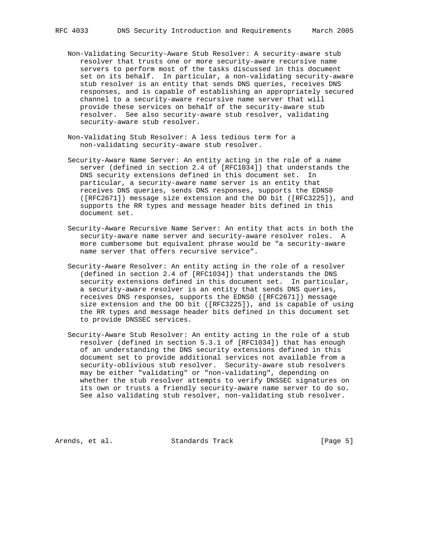- Non-Validating Security-Aware Stub Resolver: A security-aware stub resolver that trusts one or more security-aware recursive name servers to perform most of the tasks discussed in this document set on its behalf. In particular, a non-validating security-aware stub resolver is an entity that sends DNS queries, receives DNS responses, and is capable of establishing an appropriately secured channel to a security-aware recursive name server that will provide these services on behalf of the security-aware stub resolver. See also security-aware stub resolver, validating security-aware stub resolver.
- Non-Validating Stub Resolver: A less tedious term for a non-validating security-aware stub resolver.
- Security-Aware Name Server: An entity acting in the role of a name server (defined in section 2.4 of [RFC1034]) that understands the DNS security extensions defined in this document set. In particular, a security-aware name server is an entity that receives DNS queries, sends DNS responses, supports the EDNS0 ([RFC2671]) message size extension and the DO bit ([RFC3225]), and supports the RR types and message header bits defined in this document set.
- Security-Aware Recursive Name Server: An entity that acts in both the security-aware name server and security-aware resolver roles. A more cumbersome but equivalent phrase would be "a security-aware name server that offers recursive service".
- Security-Aware Resolver: An entity acting in the role of a resolver (defined in section 2.4 of [RFC1034]) that understands the DNS security extensions defined in this document set. In particular, a security-aware resolver is an entity that sends DNS queries, receives DNS responses, supports the EDNS0 ([RFC2671]) message size extension and the DO bit ([RFC3225]), and is capable of using the RR types and message header bits defined in this document set to provide DNSSEC services.
- Security-Aware Stub Resolver: An entity acting in the role of a stub resolver (defined in section 5.3.1 of [RFC1034]) that has enough of an understanding the DNS security extensions defined in this document set to provide additional services not available from a security-oblivious stub resolver. Security-aware stub resolvers may be either "validating" or "non-validating", depending on whether the stub resolver attempts to verify DNSSEC signatures on its own or trusts a friendly security-aware name server to do so. See also validating stub resolver, non-validating stub resolver.

Arends, et al. Standards Track [Page 5]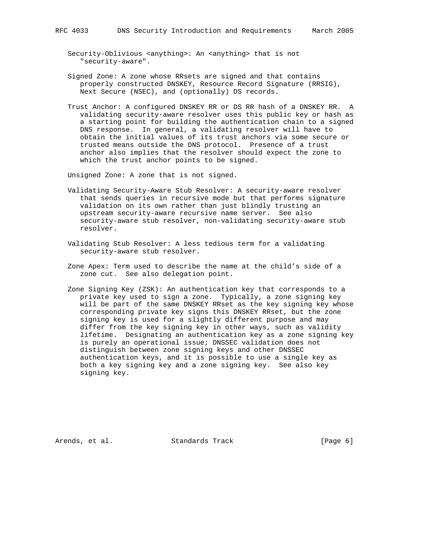Security-Oblivious <anything>: An <anything> that is not "security-aware".

- Signed Zone: A zone whose RRsets are signed and that contains properly constructed DNSKEY, Resource Record Signature (RRSIG), Next Secure (NSEC), and (optionally) DS records.
- Trust Anchor: A configured DNSKEY RR or DS RR hash of a DNSKEY RR. A validating security-aware resolver uses this public key or hash as a starting point for building the authentication chain to a signed DNS response. In general, a validating resolver will have to obtain the initial values of its trust anchors via some secure or trusted means outside the DNS protocol. Presence of a trust anchor also implies that the resolver should expect the zone to which the trust anchor points to be signed.

Unsigned Zone: A zone that is not signed.

- Validating Security-Aware Stub Resolver: A security-aware resolver that sends queries in recursive mode but that performs signature validation on its own rather than just blindly trusting an upstream security-aware recursive name server. See also security-aware stub resolver, non-validating security-aware stub resolver.
- Validating Stub Resolver: A less tedious term for a validating security-aware stub resolver.
- Zone Apex: Term used to describe the name at the child's side of a zone cut. See also delegation point.
- Zone Signing Key (ZSK): An authentication key that corresponds to a private key used to sign a zone. Typically, a zone signing key will be part of the same DNSKEY RRset as the key signing key whose corresponding private key signs this DNSKEY RRset, but the zone signing key is used for a slightly different purpose and may differ from the key signing key in other ways, such as validity lifetime. Designating an authentication key as a zone signing key is purely an operational issue; DNSSEC validation does not distinguish between zone signing keys and other DNSSEC authentication keys, and it is possible to use a single key as both a key signing key and a zone signing key. See also key signing key.

Arends, et al. Standards Track [Page 6]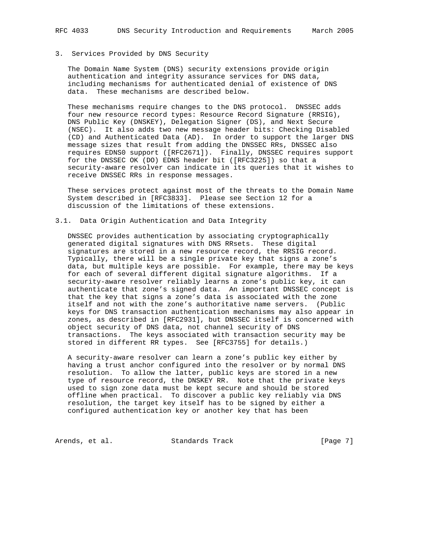# 3. Services Provided by DNS Security

 The Domain Name System (DNS) security extensions provide origin authentication and integrity assurance services for DNS data, including mechanisms for authenticated denial of existence of DNS data. These mechanisms are described below.

 These mechanisms require changes to the DNS protocol. DNSSEC adds four new resource record types: Resource Record Signature (RRSIG), DNS Public Key (DNSKEY), Delegation Signer (DS), and Next Secure (NSEC). It also adds two new message header bits: Checking Disabled (CD) and Authenticated Data (AD). In order to support the larger DNS message sizes that result from adding the DNSSEC RRs, DNSSEC also requires EDNS0 support ([RFC2671]). Finally, DNSSEC requires support for the DNSSEC OK (DO) EDNS header bit ([RFC3225]) so that a security-aware resolver can indicate in its queries that it wishes to receive DNSSEC RRs in response messages.

 These services protect against most of the threats to the Domain Name System described in [RFC3833]. Please see Section 12 for a discussion of the limitations of these extensions.

### 3.1. Data Origin Authentication and Data Integrity

 DNSSEC provides authentication by associating cryptographically generated digital signatures with DNS RRsets. These digital signatures are stored in a new resource record, the RRSIG record. Typically, there will be a single private key that signs a zone's data, but multiple keys are possible. For example, there may be keys for each of several different digital signature algorithms. If a security-aware resolver reliably learns a zone's public key, it can authenticate that zone's signed data. An important DNSSEC concept is that the key that signs a zone's data is associated with the zone itself and not with the zone's authoritative name servers. (Public keys for DNS transaction authentication mechanisms may also appear in zones, as described in [RFC2931], but DNSSEC itself is concerned with object security of DNS data, not channel security of DNS transactions. The keys associated with transaction security may be stored in different RR types. See [RFC3755] for details.)

 A security-aware resolver can learn a zone's public key either by having a trust anchor configured into the resolver or by normal DNS resolution. To allow the latter, public keys are stored in a new type of resource record, the DNSKEY RR. Note that the private keys used to sign zone data must be kept secure and should be stored offline when practical. To discover a public key reliably via DNS resolution, the target key itself has to be signed by either a configured authentication key or another key that has been

Arends, et al. Standards Track [Page 7]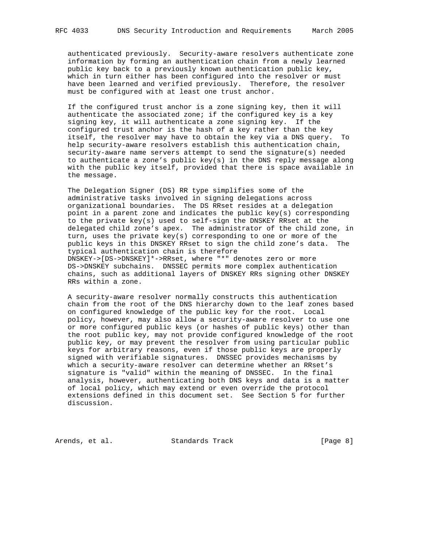authenticated previously. Security-aware resolvers authenticate zone information by forming an authentication chain from a newly learned public key back to a previously known authentication public key, which in turn either has been configured into the resolver or must have been learned and verified previously. Therefore, the resolver must be configured with at least one trust anchor.

 If the configured trust anchor is a zone signing key, then it will authenticate the associated zone; if the configured key is a key signing key, it will authenticate a zone signing key. If the configured trust anchor is the hash of a key rather than the key itself, the resolver may have to obtain the key via a DNS query. To help security-aware resolvers establish this authentication chain, security-aware name servers attempt to send the signature(s) needed to authenticate a zone's public key(s) in the DNS reply message along with the public key itself, provided that there is space available in the message.

 The Delegation Signer (DS) RR type simplifies some of the administrative tasks involved in signing delegations across organizational boundaries. The DS RRset resides at a delegation point in a parent zone and indicates the public key(s) corresponding to the private key(s) used to self-sign the DNSKEY RRset at the delegated child zone's apex. The administrator of the child zone, in turn, uses the private key(s) corresponding to one or more of the public keys in this DNSKEY RRset to sign the child zone's data. The typical authentication chain is therefore DNSKEY->[DS->DNSKEY]\*->RRset, where "\*" denotes zero or more DS->DNSKEY subchains. DNSSEC permits more complex authentication chains, such as additional layers of DNSKEY RRs signing other DNSKEY RRs within a zone.

 A security-aware resolver normally constructs this authentication chain from the root of the DNS hierarchy down to the leaf zones based on configured knowledge of the public key for the root. Local policy, however, may also allow a security-aware resolver to use one or more configured public keys (or hashes of public keys) other than the root public key, may not provide configured knowledge of the root public key, or may prevent the resolver from using particular public keys for arbitrary reasons, even if those public keys are properly signed with verifiable signatures. DNSSEC provides mechanisms by which a security-aware resolver can determine whether an RRset's signature is "valid" within the meaning of DNSSEC. In the final analysis, however, authenticating both DNS keys and data is a matter of local policy, which may extend or even override the protocol extensions defined in this document set. See Section 5 for further discussion.

Arends, et al. Standards Track [Page 8]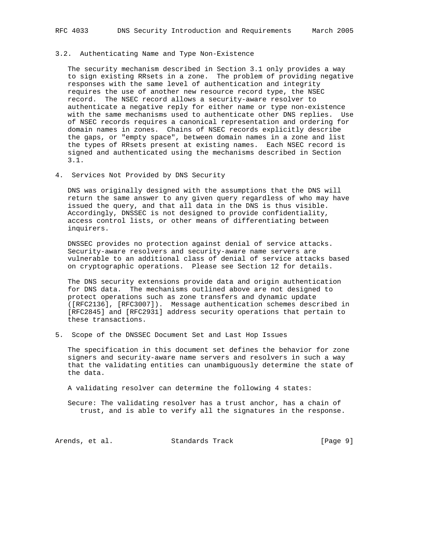#### 3.2. Authenticating Name and Type Non-Existence

 The security mechanism described in Section 3.1 only provides a way to sign existing RRsets in a zone. The problem of providing negative responses with the same level of authentication and integrity requires the use of another new resource record type, the NSEC record. The NSEC record allows a security-aware resolver to authenticate a negative reply for either name or type non-existence with the same mechanisms used to authenticate other DNS replies. Use of NSEC records requires a canonical representation and ordering for domain names in zones. Chains of NSEC records explicitly describe the gaps, or "empty space", between domain names in a zone and list the types of RRsets present at existing names. Each NSEC record is signed and authenticated using the mechanisms described in Section 3.1.

4. Services Not Provided by DNS Security

 DNS was originally designed with the assumptions that the DNS will return the same answer to any given query regardless of who may have issued the query, and that all data in the DNS is thus visible. Accordingly, DNSSEC is not designed to provide confidentiality, access control lists, or other means of differentiating between inquirers.

 DNSSEC provides no protection against denial of service attacks. Security-aware resolvers and security-aware name servers are vulnerable to an additional class of denial of service attacks based on cryptographic operations. Please see Section 12 for details.

 The DNS security extensions provide data and origin authentication for DNS data. The mechanisms outlined above are not designed to protect operations such as zone transfers and dynamic update ([RFC2136], [RFC3007]). Message authentication schemes described in [RFC2845] and [RFC2931] address security operations that pertain to these transactions.

5. Scope of the DNSSEC Document Set and Last Hop Issues

 The specification in this document set defines the behavior for zone signers and security-aware name servers and resolvers in such a way that the validating entities can unambiguously determine the state of the data.

A validating resolver can determine the following 4 states:

 Secure: The validating resolver has a trust anchor, has a chain of trust, and is able to verify all the signatures in the response.

Arends, et al. Standards Track [Page 9]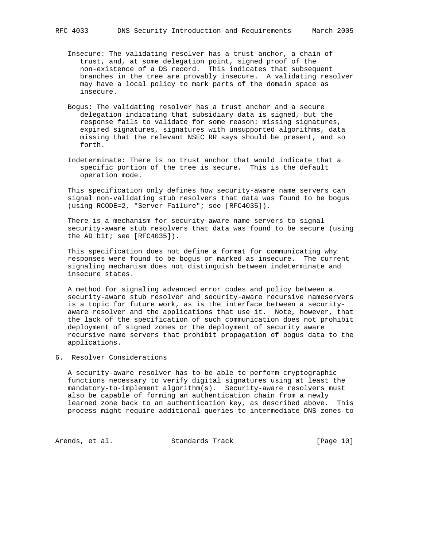- trust, and, at some delegation point, signed proof of the non-existence of a DS record. This indicates that subsequent branches in the tree are provably insecure. A validating resolver may have a local policy to mark parts of the domain space as insecure.
- Bogus: The validating resolver has a trust anchor and a secure delegation indicating that subsidiary data is signed, but the response fails to validate for some reason: missing signatures, expired signatures, signatures with unsupported algorithms, data missing that the relevant NSEC RR says should be present, and so forth.
- Indeterminate: There is no trust anchor that would indicate that a specific portion of the tree is secure. This is the default operation mode.

 This specification only defines how security-aware name servers can signal non-validating stub resolvers that data was found to be bogus (using RCODE=2, "Server Failure"; see [RFC4035]).

 There is a mechanism for security-aware name servers to signal security-aware stub resolvers that data was found to be secure (using the AD bit; see [RFC4035]).

 This specification does not define a format for communicating why responses were found to be bogus or marked as insecure. The current signaling mechanism does not distinguish between indeterminate and insecure states.

 A method for signaling advanced error codes and policy between a security-aware stub resolver and security-aware recursive nameservers is a topic for future work, as is the interface between a security aware resolver and the applications that use it. Note, however, that the lack of the specification of such communication does not prohibit deployment of signed zones or the deployment of security aware recursive name servers that prohibit propagation of bogus data to the applications.

6. Resolver Considerations

 A security-aware resolver has to be able to perform cryptographic functions necessary to verify digital signatures using at least the mandatory-to-implement algorithm(s). Security-aware resolvers must also be capable of forming an authentication chain from a newly learned zone back to an authentication key, as described above. This process might require additional queries to intermediate DNS zones to

Arends, et al. Standards Track [Page 10]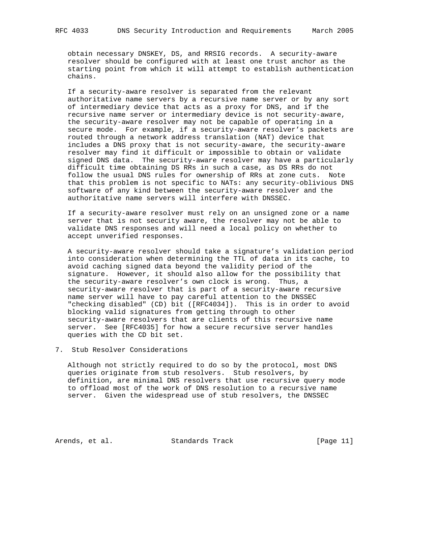obtain necessary DNSKEY, DS, and RRSIG records. A security-aware resolver should be configured with at least one trust anchor as the starting point from which it will attempt to establish authentication chains.

 If a security-aware resolver is separated from the relevant authoritative name servers by a recursive name server or by any sort of intermediary device that acts as a proxy for DNS, and if the recursive name server or intermediary device is not security-aware, the security-aware resolver may not be capable of operating in a secure mode. For example, if a security-aware resolver's packets are routed through a network address translation (NAT) device that includes a DNS proxy that is not security-aware, the security-aware resolver may find it difficult or impossible to obtain or validate signed DNS data. The security-aware resolver may have a particularly difficult time obtaining DS RRs in such a case, as DS RRs do not follow the usual DNS rules for ownership of RRs at zone cuts. Note that this problem is not specific to NATs: any security-oblivious DNS software of any kind between the security-aware resolver and the authoritative name servers will interfere with DNSSEC.

 If a security-aware resolver must rely on an unsigned zone or a name server that is not security aware, the resolver may not be able to validate DNS responses and will need a local policy on whether to accept unverified responses.

 A security-aware resolver should take a signature's validation period into consideration when determining the TTL of data in its cache, to avoid caching signed data beyond the validity period of the signature. However, it should also allow for the possibility that the security-aware resolver's own clock is wrong. Thus, a security-aware resolver that is part of a security-aware recursive name server will have to pay careful attention to the DNSSEC "checking disabled" (CD) bit ([RFC4034]). This is in order to avoid blocking valid signatures from getting through to other security-aware resolvers that are clients of this recursive name server. See [RFC4035] for how a secure recursive server handles queries with the CD bit set.

7. Stub Resolver Considerations

 Although not strictly required to do so by the protocol, most DNS queries originate from stub resolvers. Stub resolvers, by definition, are minimal DNS resolvers that use recursive query mode to offload most of the work of DNS resolution to a recursive name server. Given the widespread use of stub resolvers, the DNSSEC

Arends, et al. Standards Track [Page 11]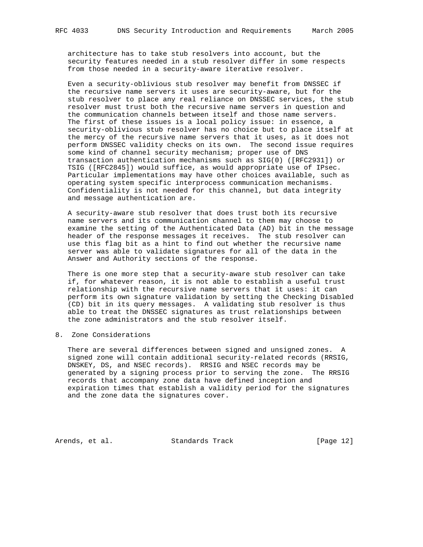architecture has to take stub resolvers into account, but the security features needed in a stub resolver differ in some respects from those needed in a security-aware iterative resolver.

 Even a security-oblivious stub resolver may benefit from DNSSEC if the recursive name servers it uses are security-aware, but for the stub resolver to place any real reliance on DNSSEC services, the stub resolver must trust both the recursive name servers in question and the communication channels between itself and those name servers. The first of these issues is a local policy issue: in essence, a security-oblivious stub resolver has no choice but to place itself at the mercy of the recursive name servers that it uses, as it does not perform DNSSEC validity checks on its own. The second issue requires some kind of channel security mechanism; proper use of DNS transaction authentication mechanisms such as SIG(0) ([RFC2931]) or TSIG ([RFC2845]) would suffice, as would appropriate use of IPsec. Particular implementations may have other choices available, such as operating system specific interprocess communication mechanisms. Confidentiality is not needed for this channel, but data integrity and message authentication are.

 A security-aware stub resolver that does trust both its recursive name servers and its communication channel to them may choose to examine the setting of the Authenticated Data (AD) bit in the message header of the response messages it receives. The stub resolver can use this flag bit as a hint to find out whether the recursive name server was able to validate signatures for all of the data in the Answer and Authority sections of the response.

 There is one more step that a security-aware stub resolver can take if, for whatever reason, it is not able to establish a useful trust relationship with the recursive name servers that it uses: it can perform its own signature validation by setting the Checking Disabled (CD) bit in its query messages. A validating stub resolver is thus able to treat the DNSSEC signatures as trust relationships between the zone administrators and the stub resolver itself.

8. Zone Considerations

 There are several differences between signed and unsigned zones. A signed zone will contain additional security-related records (RRSIG, DNSKEY, DS, and NSEC records). RRSIG and NSEC records may be generated by a signing process prior to serving the zone. The RRSIG records that accompany zone data have defined inception and expiration times that establish a validity period for the signatures and the zone data the signatures cover.

Arends, et al. Standards Track [Page 12]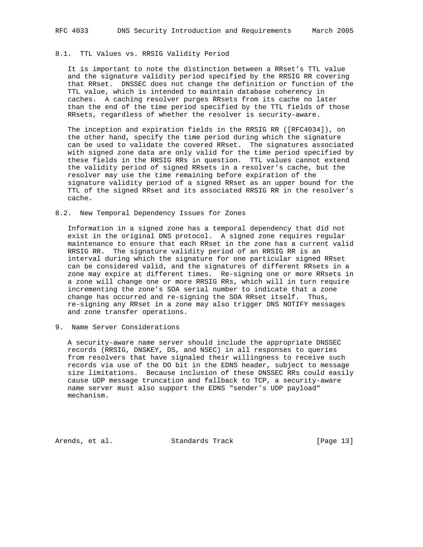# 8.1. TTL Values vs. RRSIG Validity Period

 It is important to note the distinction between a RRset's TTL value and the signature validity period specified by the RRSIG RR covering that RRset. DNSSEC does not change the definition or function of the TTL value, which is intended to maintain database coherency in caches. A caching resolver purges RRsets from its cache no later than the end of the time period specified by the TTL fields of those RRsets, regardless of whether the resolver is security-aware.

 The inception and expiration fields in the RRSIG RR ([RFC4034]), on the other hand, specify the time period during which the signature can be used to validate the covered RRset. The signatures associated with signed zone data are only valid for the time period specified by these fields in the RRSIG RRs in question. TTL values cannot extend the validity period of signed RRsets in a resolver's cache, but the resolver may use the time remaining before expiration of the signature validity period of a signed RRset as an upper bound for the TTL of the signed RRset and its associated RRSIG RR in the resolver's cache.

### 8.2. New Temporal Dependency Issues for Zones

 Information in a signed zone has a temporal dependency that did not exist in the original DNS protocol. A signed zone requires regular maintenance to ensure that each RRset in the zone has a current valid RRSIG RR. The signature validity period of an RRSIG RR is an interval during which the signature for one particular signed RRset can be considered valid, and the signatures of different RRsets in a zone may expire at different times. Re-signing one or more RRsets in a zone will change one or more RRSIG RRs, which will in turn require incrementing the zone's SOA serial number to indicate that a zone change has occurred and re-signing the SOA RRset itself. Thus, re-signing any RRset in a zone may also trigger DNS NOTIFY messages and zone transfer operations.

9. Name Server Considerations

 A security-aware name server should include the appropriate DNSSEC records (RRSIG, DNSKEY, DS, and NSEC) in all responses to queries from resolvers that have signaled their willingness to receive such records via use of the DO bit in the EDNS header, subject to message size limitations. Because inclusion of these DNSSEC RRs could easily cause UDP message truncation and fallback to TCP, a security-aware name server must also support the EDNS "sender's UDP payload" mechanism.

Arends, et al. Standards Track [Page 13]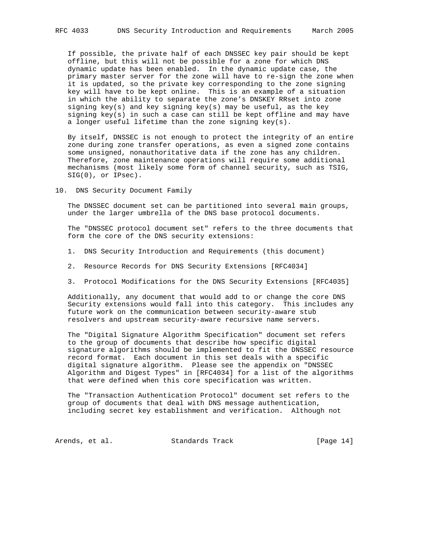If possible, the private half of each DNSSEC key pair should be kept offline, but this will not be possible for a zone for which DNS dynamic update has been enabled. In the dynamic update case, the primary master server for the zone will have to re-sign the zone when it is updated, so the private key corresponding to the zone signing key will have to be kept online. This is an example of a situation in which the ability to separate the zone's DNSKEY RRset into zone signing key(s) and key signing key(s) may be useful, as the key signing key(s) in such a case can still be kept offline and may have a longer useful lifetime than the zone signing key(s).

 By itself, DNSSEC is not enough to protect the integrity of an entire zone during zone transfer operations, as even a signed zone contains some unsigned, nonauthoritative data if the zone has any children. Therefore, zone maintenance operations will require some additional mechanisms (most likely some form of channel security, such as TSIG, SIG(0), or IPsec).

10. DNS Security Document Family

 The DNSSEC document set can be partitioned into several main groups, under the larger umbrella of the DNS base protocol documents.

 The "DNSSEC protocol document set" refers to the three documents that form the core of the DNS security extensions:

- 1. DNS Security Introduction and Requirements (this document)
- 2. Resource Records for DNS Security Extensions [RFC4034]
- 3. Protocol Modifications for the DNS Security Extensions [RFC4035]

 Additionally, any document that would add to or change the core DNS Security extensions would fall into this category. This includes any future work on the communication between security-aware stub resolvers and upstream security-aware recursive name servers.

 The "Digital Signature Algorithm Specification" document set refers to the group of documents that describe how specific digital signature algorithms should be implemented to fit the DNSSEC resource record format. Each document in this set deals with a specific digital signature algorithm. Please see the appendix on "DNSSEC Algorithm and Digest Types" in [RFC4034] for a list of the algorithms that were defined when this core specification was written.

 The "Transaction Authentication Protocol" document set refers to the group of documents that deal with DNS message authentication, including secret key establishment and verification. Although not

Arends, et al. Standards Track [Page 14]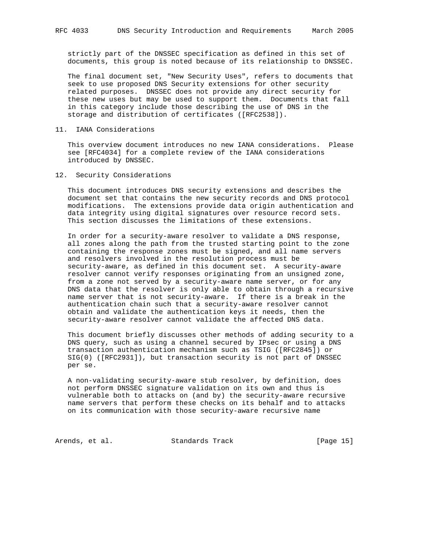strictly part of the DNSSEC specification as defined in this set of documents, this group is noted because of its relationship to DNSSEC.

 The final document set, "New Security Uses", refers to documents that seek to use proposed DNS Security extensions for other security related purposes. DNSSEC does not provide any direct security for these new uses but may be used to support them. Documents that fall in this category include those describing the use of DNS in the storage and distribution of certificates ([RFC2538]).

#### 11. IANA Considerations

 This overview document introduces no new IANA considerations. Please see [RFC4034] for a complete review of the IANA considerations introduced by DNSSEC.

12. Security Considerations

 This document introduces DNS security extensions and describes the document set that contains the new security records and DNS protocol modifications. The extensions provide data origin authentication and data integrity using digital signatures over resource record sets. This section discusses the limitations of these extensions.

 In order for a security-aware resolver to validate a DNS response, all zones along the path from the trusted starting point to the zone containing the response zones must be signed, and all name servers and resolvers involved in the resolution process must be security-aware, as defined in this document set. A security-aware resolver cannot verify responses originating from an unsigned zone, from a zone not served by a security-aware name server, or for any DNS data that the resolver is only able to obtain through a recursive name server that is not security-aware. If there is a break in the authentication chain such that a security-aware resolver cannot obtain and validate the authentication keys it needs, then the security-aware resolver cannot validate the affected DNS data.

 This document briefly discusses other methods of adding security to a DNS query, such as using a channel secured by IPsec or using a DNS transaction authentication mechanism such as TSIG ([RFC2845]) or SIG(0) ([RFC2931]), but transaction security is not part of DNSSEC per se.

 A non-validating security-aware stub resolver, by definition, does not perform DNSSEC signature validation on its own and thus is vulnerable both to attacks on (and by) the security-aware recursive name servers that perform these checks on its behalf and to attacks on its communication with those security-aware recursive name

Arends, et al. Standards Track [Page 15]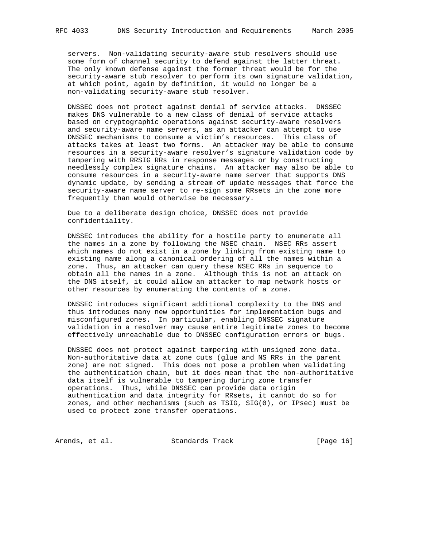servers. Non-validating security-aware stub resolvers should use some form of channel security to defend against the latter threat. The only known defense against the former threat would be for the security-aware stub resolver to perform its own signature validation, at which point, again by definition, it would no longer be a non-validating security-aware stub resolver.

 DNSSEC does not protect against denial of service attacks. DNSSEC makes DNS vulnerable to a new class of denial of service attacks based on cryptographic operations against security-aware resolvers and security-aware name servers, as an attacker can attempt to use DNSSEC mechanisms to consume a victim's resources. This class of attacks takes at least two forms. An attacker may be able to consume resources in a security-aware resolver's signature validation code by tampering with RRSIG RRs in response messages or by constructing needlessly complex signature chains. An attacker may also be able to consume resources in a security-aware name server that supports DNS dynamic update, by sending a stream of update messages that force the security-aware name server to re-sign some RRsets in the zone more frequently than would otherwise be necessary.

 Due to a deliberate design choice, DNSSEC does not provide confidentiality.

 DNSSEC introduces the ability for a hostile party to enumerate all the names in a zone by following the NSEC chain. NSEC RRs assert which names do not exist in a zone by linking from existing name to existing name along a canonical ordering of all the names within a zone. Thus, an attacker can query these NSEC RRs in sequence to obtain all the names in a zone. Although this is not an attack on the DNS itself, it could allow an attacker to map network hosts or other resources by enumerating the contents of a zone.

 DNSSEC introduces significant additional complexity to the DNS and thus introduces many new opportunities for implementation bugs and misconfigured zones. In particular, enabling DNSSEC signature validation in a resolver may cause entire legitimate zones to become effectively unreachable due to DNSSEC configuration errors or bugs.

 DNSSEC does not protect against tampering with unsigned zone data. Non-authoritative data at zone cuts (glue and NS RRs in the parent zone) are not signed. This does not pose a problem when validating the authentication chain, but it does mean that the non-authoritative data itself is vulnerable to tampering during zone transfer operations. Thus, while DNSSEC can provide data origin authentication and data integrity for RRsets, it cannot do so for zones, and other mechanisms (such as TSIG, SIG(0), or IPsec) must be used to protect zone transfer operations.

Arends, et al. Standards Track [Page 16]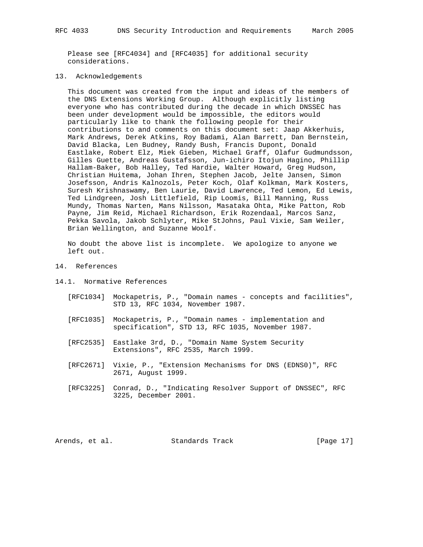Please see [RFC4034] and [RFC4035] for additional security considerations.

### 13. Acknowledgements

 This document was created from the input and ideas of the members of the DNS Extensions Working Group. Although explicitly listing everyone who has contributed during the decade in which DNSSEC has been under development would be impossible, the editors would particularly like to thank the following people for their contributions to and comments on this document set: Jaap Akkerhuis, Mark Andrews, Derek Atkins, Roy Badami, Alan Barrett, Dan Bernstein, David Blacka, Len Budney, Randy Bush, Francis Dupont, Donald Eastlake, Robert Elz, Miek Gieben, Michael Graff, Olafur Gudmundsson, Gilles Guette, Andreas Gustafsson, Jun-ichiro Itojun Hagino, Phillip Hallam-Baker, Bob Halley, Ted Hardie, Walter Howard, Greg Hudson, Christian Huitema, Johan Ihren, Stephen Jacob, Jelte Jansen, Simon Josefsson, Andris Kalnozols, Peter Koch, Olaf Kolkman, Mark Kosters, Suresh Krishnaswamy, Ben Laurie, David Lawrence, Ted Lemon, Ed Lewis, Ted Lindgreen, Josh Littlefield, Rip Loomis, Bill Manning, Russ Mundy, Thomas Narten, Mans Nilsson, Masataka Ohta, Mike Patton, Rob Payne, Jim Reid, Michael Richardson, Erik Rozendaal, Marcos Sanz, Pekka Savola, Jakob Schlyter, Mike StJohns, Paul Vixie, Sam Weiler, Brian Wellington, and Suzanne Woolf.

 No doubt the above list is incomplete. We apologize to anyone we left out.

## 14. References

- 14.1. Normative References
	- [RFC1034] Mockapetris, P., "Domain names concepts and facilities", STD 13, RFC 1034, November 1987.
	- [RFC1035] Mockapetris, P., "Domain names implementation and specification", STD 13, RFC 1035, November 1987.
	- [RFC2535] Eastlake 3rd, D., "Domain Name System Security Extensions", RFC 2535, March 1999.
	- [RFC2671] Vixie, P., "Extension Mechanisms for DNS (EDNS0)", RFC 2671, August 1999.
	- [RFC3225] Conrad, D., "Indicating Resolver Support of DNSSEC", RFC 3225, December 2001.

Arends, et al. Standards Track [Page 17]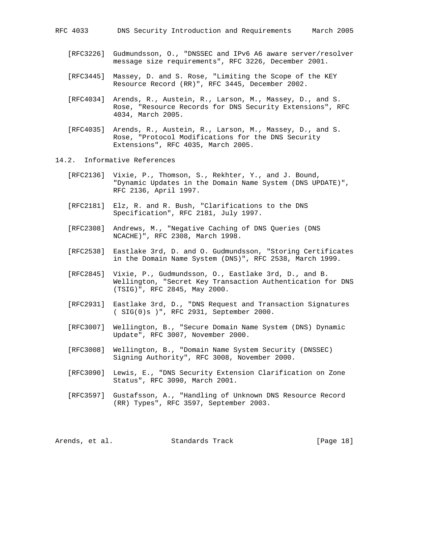- [RFC3226] Gudmundsson, O., "DNSSEC and IPv6 A6 aware server/resolver message size requirements", RFC 3226, December 2001.
- [RFC3445] Massey, D. and S. Rose, "Limiting the Scope of the KEY Resource Record (RR)", RFC 3445, December 2002.
- [RFC4034] Arends, R., Austein, R., Larson, M., Massey, D., and S. Rose, "Resource Records for DNS Security Extensions", RFC 4034, March 2005.
- [RFC4035] Arends, R., Austein, R., Larson, M., Massey, D., and S. Rose, "Protocol Modifications for the DNS Security Extensions", RFC 4035, March 2005.
- 14.2. Informative References
	- [RFC2136] Vixie, P., Thomson, S., Rekhter, Y., and J. Bound, "Dynamic Updates in the Domain Name System (DNS UPDATE)", RFC 2136, April 1997.
	- [RFC2181] Elz, R. and R. Bush, "Clarifications to the DNS Specification", RFC 2181, July 1997.
	- [RFC2308] Andrews, M., "Negative Caching of DNS Queries (DNS NCACHE)", RFC 2308, March 1998.
	- [RFC2538] Eastlake 3rd, D. and O. Gudmundsson, "Storing Certificates in the Domain Name System (DNS)", RFC 2538, March 1999.
	- [RFC2845] Vixie, P., Gudmundsson, O., Eastlake 3rd, D., and B. Wellington, "Secret Key Transaction Authentication for DNS (TSIG)", RFC 2845, May 2000.
	- [RFC2931] Eastlake 3rd, D., "DNS Request and Transaction Signatures ( SIG(0)s )", RFC 2931, September 2000.
	- [RFC3007] Wellington, B., "Secure Domain Name System (DNS) Dynamic Update", RFC 3007, November 2000.
	- [RFC3008] Wellington, B., "Domain Name System Security (DNSSEC) Signing Authority", RFC 3008, November 2000.
	- [RFC3090] Lewis, E., "DNS Security Extension Clarification on Zone Status", RFC 3090, March 2001.
	- [RFC3597] Gustafsson, A., "Handling of Unknown DNS Resource Record (RR) Types", RFC 3597, September 2003.

Arends, et al. Standards Track [Page 18]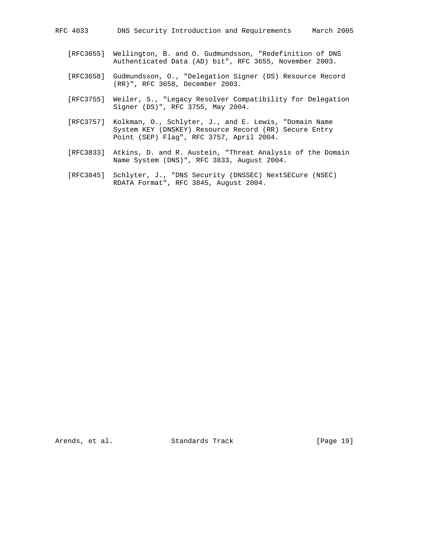- [RFC3655] Wellington, B. and O. Gudmundsson, "Redefinition of DNS Authenticated Data (AD) bit", RFC 3655, November 2003.
- [RFC3658] Gudmundsson, O., "Delegation Signer (DS) Resource Record (RR)", RFC 3658, December 2003.
- [RFC3755] Weiler, S., "Legacy Resolver Compatibility for Delegation Signer (DS)", RFC 3755, May 2004.
- [RFC3757] Kolkman, O., Schlyter, J., and E. Lewis, "Domain Name System KEY (DNSKEY) Resource Record (RR) Secure Entry Point (SEP) Flag", RFC 3757, April 2004.
- [RFC3833] Atkins, D. and R. Austein, "Threat Analysis of the Domain Name System (DNS)", RFC 3833, August 2004.
- [RFC3845] Schlyter, J., "DNS Security (DNSSEC) NextSECure (NSEC) RDATA Format", RFC 3845, August 2004.

Arends, et al. Standards Track [Page 19]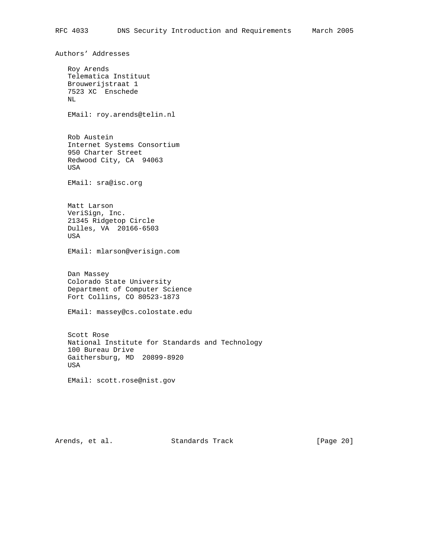Authors' Addresses Roy Arends Telematica Instituut Brouwerijstraat 1 7523 XC Enschede NL EMail: roy.arends@telin.nl Rob Austein Internet Systems Consortium 950 Charter Street Redwood City, CA 94063 USA EMail: sra@isc.org Matt Larson VeriSign, Inc. 21345 Ridgetop Circle Dulles, VA 20166-6503 USA EMail: mlarson@verisign.com Dan Massey Colorado State University Department of Computer Science Fort Collins, CO 80523-1873 EMail: massey@cs.colostate.edu Scott Rose National Institute for Standards and Technology 100 Bureau Drive Gaithersburg, MD 20899-8920 USA EMail: scott.rose@nist.gov

Arends, et al. Standards Track [Page 20]